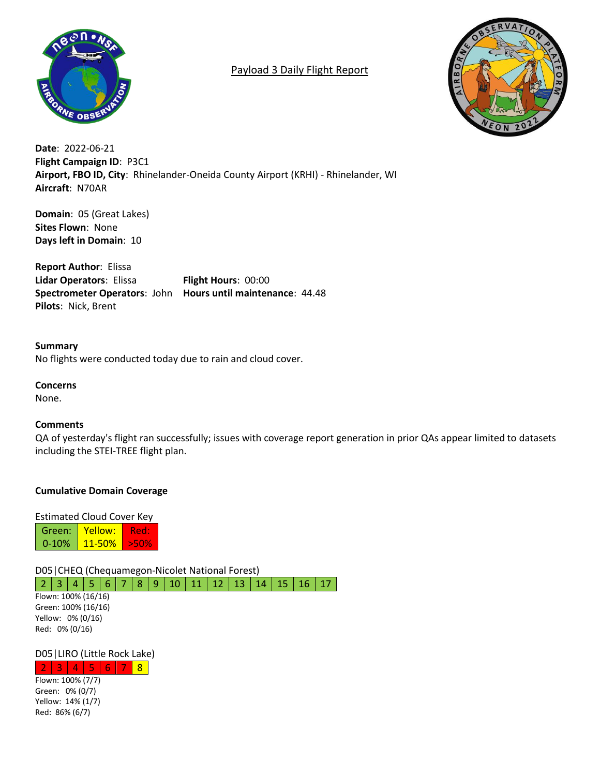

# Payload 3 Daily Flight Report



**Date**: 2022-06-21 **Flight Campaign ID**: P3C1 **Airport, FBO ID, City**: Rhinelander-Oneida County Airport (KRHI) - Rhinelander, WI **Aircraft**: N70AR

**Domain**: 05 (Great Lakes) **Sites Flown**: None **Days left in Domain**: 10

**Report Author**: Elissa **Lidar Operators**: Elissa **Flight Hours**: 00:00 **Spectrometer Operators**: John **Hours until maintenance**: 44.48 **Pilots**: Nick, Brent

**Summary** No flights were conducted today due to rain and cloud cover.

### **Concerns**

None.

#### **Comments**

QA of yesterday's flight ran successfully; issues with coverage report generation in prior QAs appear limited to datasets including the STEI-TREE flight plan.

# **Cumulative Domain Coverage**

Estimated Cloud Cover Key Green: 0-10% Yellow: 11-50% Red: >50%

D05|CHEQ (Chequamegon-Nicolet National Forest) 2 3 4 5 6 7 8 9 10 11 12 13 14 15 16 17

Flown: 100% (16/16) Green: 100% (16/16) Yellow: 0% (0/16) Red: 0% (0/16)

# D05|LIRO (Little Rock Lake)

 $2 | 3 | 4 | 5 | 6 | 7 | 8$ Flown: 100% (7/7) Green: 0% (0/7) Yellow: 14% (1/7) Red: 86% (6/7)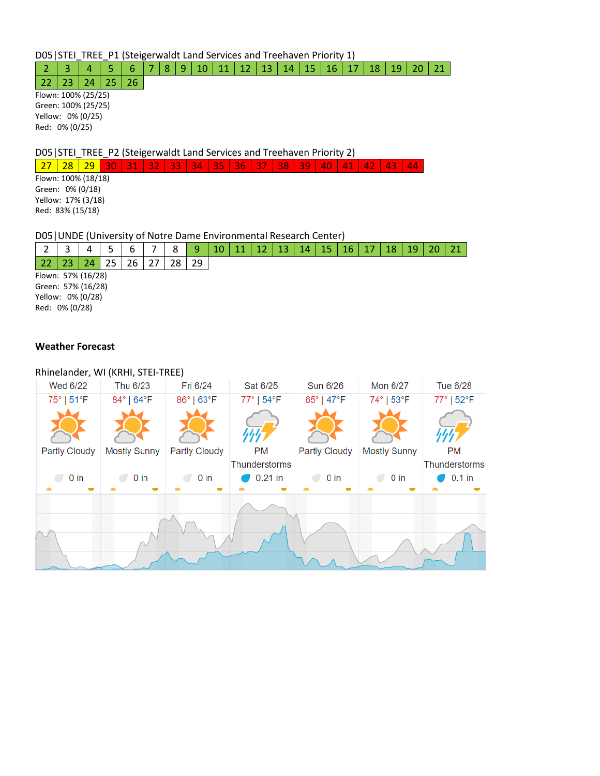D05|STEI\_TREE\_P1 (Steigerwaldt Land Services and Treehaven Priority 1)

2 3 4 5 6 7 8 9 10 11 12 13 14 15 16 17 18 19 20 21

 $22 \mid 23 \mid 24 \mid 25 \mid 26$ Flown: 100% (25/25) Green: 100% (25/25) Yellow: 0% (0/25) Red: 0% (0/25)

D05|STEI\_TREE\_P2 (Steigerwaldt Land Services and Treehaven Priority 2)

27 28 29 30 31 32 33 34 35 36 37 38 39 40 41 42 43 44

Flown: 100% (18/18) Green: 0% (0/18) Yellow: 17% (3/18) Red: 83% (15/18)

### D05|UNDE (University of Notre Dame Environmental Research Center)

|                    |  |     |    |  |  | $\circ$ | 9  |  |  |  | 13 | 14 | 15 | 16 |  |  |  |
|--------------------|--|-----|----|--|--|---------|----|--|--|--|----|----|----|----|--|--|--|
|                    |  | 24. | つに |  |  | 28      | 29 |  |  |  |    |    |    |    |  |  |  |
| Flown: 57% (16/28) |  |     |    |  |  |         |    |  |  |  |    |    |    |    |  |  |  |
| Green: 57% (16/28) |  |     |    |  |  |         |    |  |  |  |    |    |    |    |  |  |  |
| Yellow: 0% (0/28)  |  |     |    |  |  |         |    |  |  |  |    |    |    |    |  |  |  |
| Red: 0% (0/28)     |  |     |    |  |  |         |    |  |  |  |    |    |    |    |  |  |  |

#### **Weather Forecast**

#### Rhinelander, WI (KRHI, STEI-TREE)

| Wed 6/22             | Thu 6/23            | Fri 6/24             | Sat 6/25                   | <b>Sun 6/26</b>      | Mon 6/27            | <b>Tue 6/28</b>            |
|----------------------|---------------------|----------------------|----------------------------|----------------------|---------------------|----------------------------|
| 75°   51°F           | 84°   64°F          | 86°   63°F           | 77°   54°F                 | 65°   47°F           | 74°   53°F          | 77°   52°F                 |
|                      |                     |                      |                            |                      |                     |                            |
| <b>Partly Cloudy</b> | <b>Mostly Sunny</b> | <b>Partly Cloudy</b> | <b>PM</b><br>Thunderstorms | <b>Partly Cloudy</b> | <b>Mostly Sunny</b> | PM<br><b>Thunderstorms</b> |
| $0$ in               | 0 <sub>in</sub>     | 0 <sub>in</sub>      | $0.21$ in                  | $0$ in               | 0 <sub>in</sub>     | $0.1$ in                   |
|                      |                     |                      |                            |                      |                     |                            |
|                      |                     |                      |                            |                      |                     |                            |